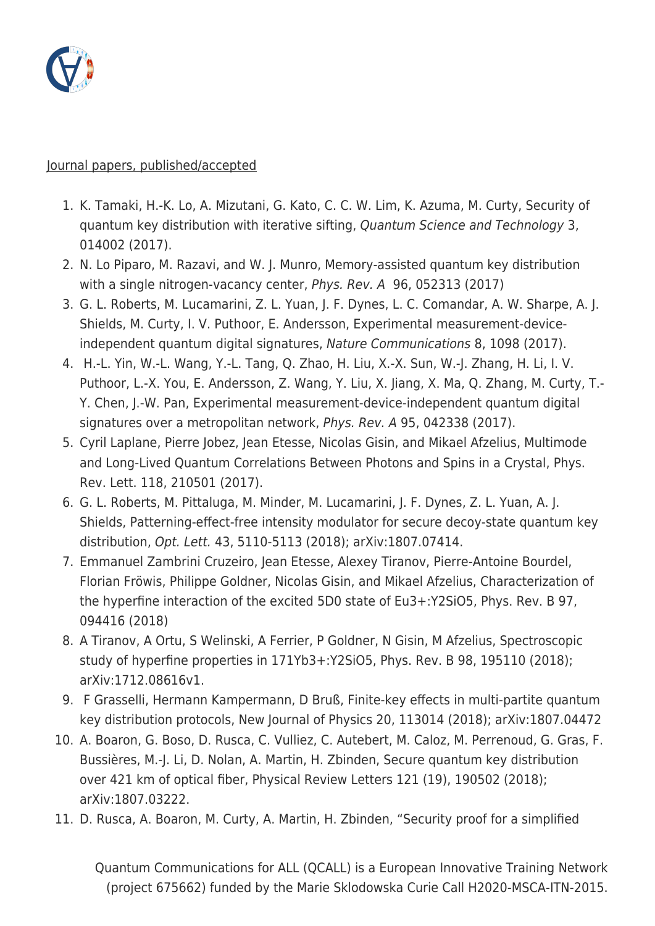

## Journal papers, published/accepted

- 1. K. Tamaki, H.-K. Lo, A. Mizutani, G. Kato, C. C. W. Lim, K. Azuma, M. Curty, Security of quantum key distribution with iterative sifting, Quantum Science and Technology 3, 014002 (2017).
- 2. N. Lo Piparo, M. Razavi, and W. J. Munro, Memory-assisted quantum key distribution with a single nitrogen-vacancy center, Phys. Rev. A 96, 052313 (2017)
- 3. G. L. Roberts, M. Lucamarini, Z. L. Yuan, J. F. Dynes, L. C. Comandar, A. W. Sharpe, A. J. Shields, M. Curty, I. V. Puthoor, E. Andersson, Experimental measurement-deviceindependent quantum digital signatures, Nature Communications 8, 1098 (2017).
- 4. H.-L. Yin, W.-L. Wang, Y.-L. Tang, Q. Zhao, H. Liu, X.-X. Sun, W.-J. Zhang, H. Li, I. V. Puthoor, L.-X. You, E. Andersson, Z. Wang, Y. Liu, X. Jiang, X. Ma, Q. Zhang, M. Curty, T.- Y. Chen, J.-W. Pan, Experimental measurement-device-independent quantum digital signatures over a metropolitan network, Phys. Rev. A 95, 042338 (2017).
- 5. Cyril Laplane, Pierre Jobez, Jean Etesse, Nicolas Gisin, and Mikael Afzelius, Multimode and Long-Lived Quantum Correlations Between Photons and Spins in a Crystal, Phys. Rev. Lett. 118, 210501 (2017).
- 6. G. L. Roberts, M. Pittaluga, M. Minder, M. Lucamarini, J. F. Dynes, Z. L. Yuan, A. J. Shields, Patterning-effect-free intensity modulator for secure decoy-state quantum key distribution, Opt. Lett. 43, 5110-5113 (2018); arXiv:1807.07414.
- 7. Emmanuel Zambrini Cruzeiro, Jean Etesse, Alexey Tiranov, Pierre-Antoine Bourdel, Florian Fröwis, Philippe Goldner, Nicolas Gisin, and Mikael Afzelius, Characterization of the hyperfine interaction of the excited 5D0 state of Eu3+:Y2SiO5, Phys. Rev. B 97, 094416 (2018)
- 8. A Tiranov, A Ortu, S Welinski, A Ferrier, P Goldner, N Gisin, M Afzelius, Spectroscopic study of hyperfine properties in 171Yb3+:Y2SiO5, Phys. Rev. B 98, 195110 (2018); arXiv:1712.08616v1.
- 9. F Grasselli, Hermann Kampermann, D Bruß, Finite-key effects in multi-partite quantum key distribution protocols, New Journal of Physics 20, 113014 (2018); arXiv:1807.04472
- 10. A. Boaron, G. Boso, D. Rusca, C. Vulliez, C. Autebert, M. Caloz, M. Perrenoud, G. Gras, F. Bussières, M.-J. Li, D. Nolan, A. Martin, H. Zbinden, Secure quantum key distribution over 421 km of optical fiber, Physical Review Letters 121 (19), 190502 (2018); arXiv:1807.03222.
- 11. D. Rusca, A. Boaron, M. Curty, A. Martin, H. Zbinden, "Security proof for a simplified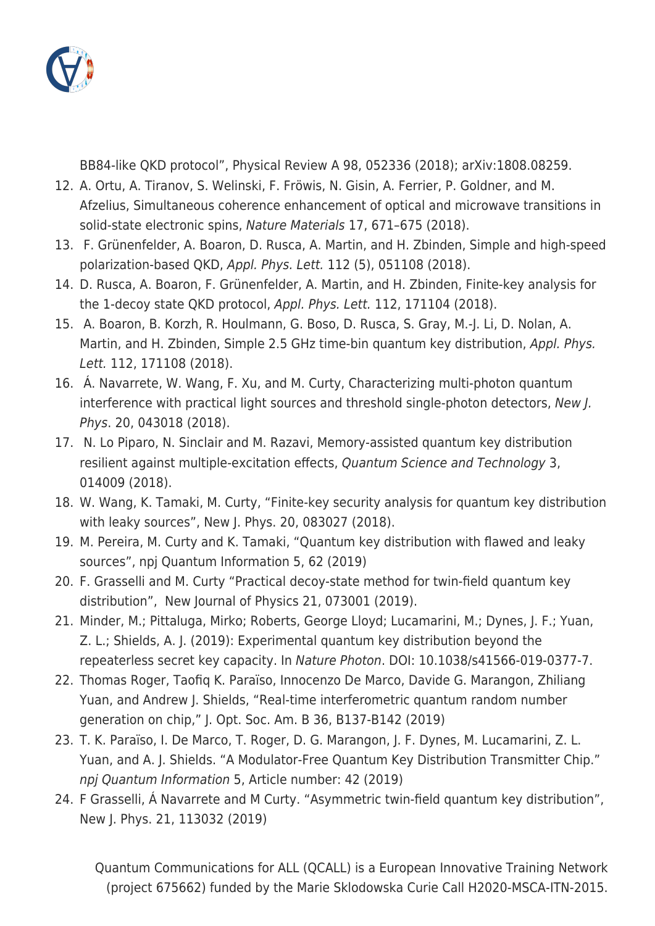

BB84-like QKD protocol", Physical Review A 98, 052336 (2018); arXiv:1808.08259.

- 12. A. Ortu, A. Tiranov, S. Welinski, F. Fröwis, N. Gisin, A. Ferrier, P. Goldner, and M. Afzelius, Simultaneous coherence enhancement of optical and microwave transitions in solid-state electronic spins, Nature Materials 17, 671–675 (2018).
- 13. F. Grünenfelder, A. Boaron, D. Rusca, A. Martin, and H. Zbinden, Simple and high-speed polarization-based QKD, Appl. Phys. Lett. 112 (5), 051108 (2018).
- 14. D. Rusca, A. Boaron, F. Grünenfelder, A. Martin, and H. Zbinden, Finite-key analysis for the 1-decoy state QKD protocol, Appl. Phys. Lett. 112, 171104 (2018).
- 15. A. Boaron, B. Korzh, R. Houlmann, G. Boso, D. Rusca, S. Gray, M.-J. Li, D. Nolan, A. Martin, and H. Zbinden, Simple 2.5 GHz time-bin quantum key distribution, Appl. Phys. Lett. 112, 171108 (2018).
- 16. Á. Navarrete, W. Wang, F. Xu, and M. Curty, Characterizing multi-photon quantum interference with practical light sources and threshold single-photon detectors, New J. Phys. 20, 043018 (2018).
- 17. N. Lo Piparo, N. Sinclair and M. Razavi, Memory-assisted quantum key distribution resilient against multiple-excitation effects, Quantum Science and Technology 3, 014009 (2018).
- 18. W. Wang, K. Tamaki, M. Curty, "Finite-key security analysis for quantum key distribution with leaky sources", New J. Phys. 20, 083027 (2018).
- 19. M. Pereira, M. Curty and K. Tamaki, "Quantum key distribution with flawed and leaky sources", npj Quantum Information 5, 62 (2019)
- 20. F. Grasselli and M. Curty "Practical decoy-state method for twin-field quantum key distribution", New Journal of Physics 21, 073001 (2019).
- 21. Minder, M.; Pittaluga, Mirko; Roberts, George Lloyd; Lucamarini, M.; Dynes, J. F.; Yuan, Z. L.; Shields, A. J. (2019): Experimental quantum key distribution beyond the repeaterless secret key capacity. In Nature Photon. DOI: 10.1038/s41566-019-0377-7.
- 22. Thomas Roger, Taofiq K. Paraïso, Innocenzo De Marco, Davide G. Marangon, Zhiliang Yuan, and Andrew J. Shields, "Real-time interferometric quantum random number generation on chip," J. Opt. Soc. Am. B 36, B137-B142 (2019)
- 23. T. K. Paraïso, I. De Marco, T. Roger, D. G. Marangon, J. F. Dynes, M. Lucamarini, Z. L. Yuan, and A. J. Shields. "A Modulator-Free Quantum Key Distribution Transmitter Chip." npj Quantum Information 5, Article number: 42 (2019)
- 24. F Grasselli, Á Navarrete and M Curty. "Asymmetric twin-field quantum key distribution", New J. Phys. 21, 113032 (2019)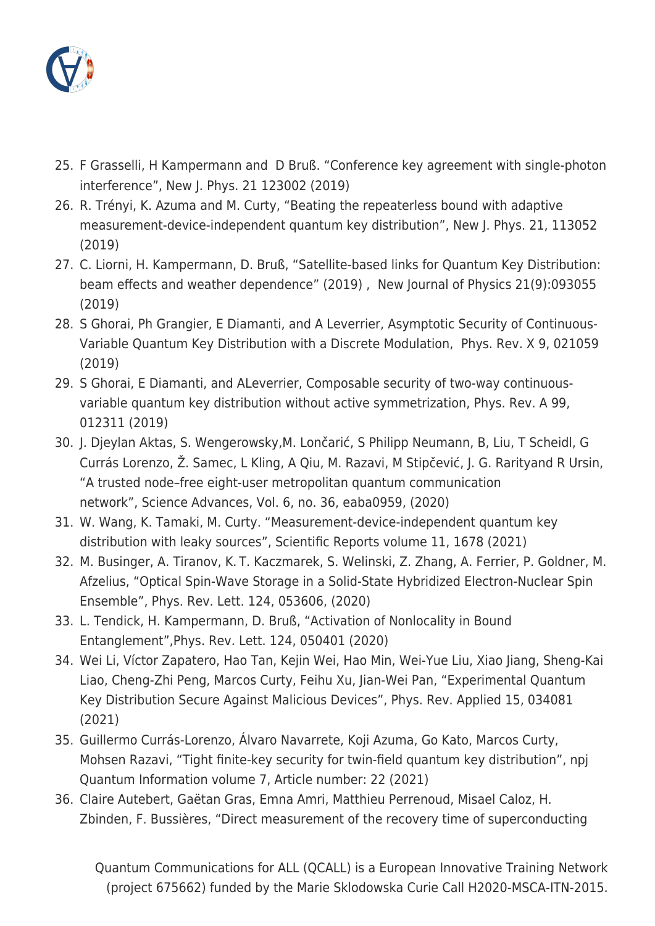

- 25. F Grasselli, H Kampermann and D Bruß. "Conference key agreement with single-photon interference", New J. Phys. 21 123002 (2019)
- 26. R. Trényi, K. Azuma and M. Curty, "Beating the repeaterless bound with adaptive measurement-device-independent quantum key distribution", New J. Phys. 21, 113052 (2019)
- 27. C. Liorni, H. Kampermann, D. Bruß, "Satellite-based links for Quantum Key Distribution: beam effects and weather dependence" (2019) , New Journal of Physics 21(9):093055 (2019)
- 28. S Ghorai, Ph Grangier, E Diamanti, and A Leverrier, Asymptotic Security of Continuous-Variable Quantum Key Distribution with a Discrete Modulation, Phys. Rev. X 9, 021059 (2019)
- 29. S Ghorai, E Diamanti, and ALeverrier, Composable security of two-way continuousvariable quantum key distribution without active symmetrization, Phys. Rev. A 99, 012311 (2019)
- 30. J. Djeylan Aktas, S. Wengerowsky,M. Lončarić, S Philipp Neumann, B, Liu, T Scheidl, G Currás Lorenzo, Ž. Samec, L Kling, A Qiu, M. Razavi, M Stipčević, J. G. Rarityand R Ursin, "A trusted node–free eight-user metropolitan quantum communication network", Science Advances, Vol. 6, no. 36, eaba0959, (2020)
- 31. W. Wang, K. Tamaki, M. Curty. "Measurement-device-independent quantum key distribution with leaky sources", Scientific Reports volume 11, 1678 (2021)
- 32. M. Businger, A. Tiranov, K. T. Kaczmarek, S. Welinski, Z. Zhang, A. Ferrier, P. Goldner, M. Afzelius, "Optical Spin-Wave Storage in a Solid-State Hybridized Electron-Nuclear Spin Ensemble", Phys. Rev. Lett. 124, 053606, (2020)
- 33. L. Tendick, H. Kampermann, D. Bruß, "Activation of Nonlocality in Bound Entanglement",Phys. Rev. Lett. 124, 050401 (2020)
- 34. Wei Li, Víctor Zapatero, Hao Tan, Kejin Wei, Hao Min, Wei-Yue Liu, Xiao Jiang, Sheng-Kai Liao, Cheng-Zhi Peng, Marcos Curty, Feihu Xu, Jian-Wei Pan, "Experimental Quantum Key Distribution Secure Against Malicious Devices", Phys. Rev. Applied 15, 034081 (2021)
- 35. Guillermo Currás-Lorenzo, Álvaro Navarrete, Koji Azuma, Go Kato, Marcos Curty, Mohsen Razavi, "Tight finite-key security for twin-field quantum key distribution", npj Quantum Information volume 7, Article number: 22 (2021)
- 36. Claire Autebert, Gaëtan Gras, Emna Amri, Matthieu Perrenoud, Misael Caloz, H. Zbinden, F. Bussières, "Direct measurement of the recovery time of superconducting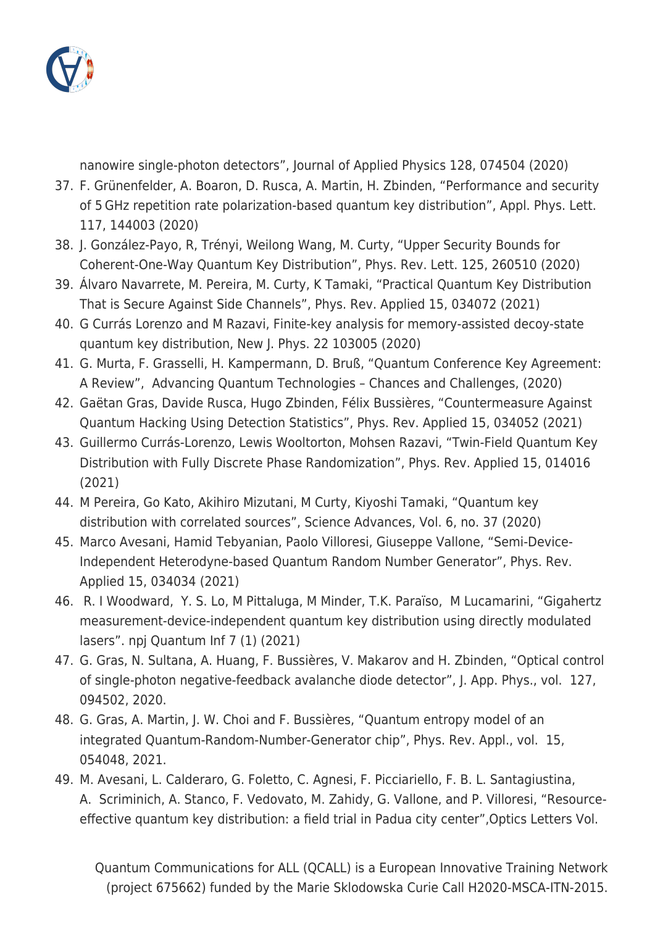

nanowire single-photon detectors", Journal of Applied Physics 128, 074504 (2020)

- 37. F. Grünenfelder, A. Boaron, D. Rusca, A. Martin, H. Zbinden, "Performance and security of 5 GHz repetition rate polarization-based quantum key distribution", Appl. Phys. Lett. 117, 144003 (2020)
- 38. J. González-Payo, R, Trényi, Weilong Wang, M. Curty, "Upper Security Bounds for Coherent-One-Way Quantum Key Distribution", Phys. Rev. Lett. 125, 260510 (2020)
- 39. Álvaro Navarrete, M. Pereira, M. Curty, K Tamaki, "Practical Quantum Key Distribution That is Secure Against Side Channels", Phys. Rev. Applied 15, 034072 (2021)
- 40. G Currás Lorenzo and M Razavi, Finite-key analysis for memory-assisted decoy-state quantum key distribution, New J. Phys. 22 103005 (2020)
- 41. G. Murta, F. Grasselli, H. Kampermann, D. Bruß, "Quantum Conference Key Agreement: A Review", Advancing Quantum Technologies – Chances and Challenges, (2020)
- 42. Gaëtan Gras, Davide Rusca, Hugo Zbinden, Félix Bussières, "Countermeasure Against Quantum Hacking Using Detection Statistics", Phys. Rev. Applied 15, 034052 (2021)
- 43. Guillermo Currás-Lorenzo, Lewis Wooltorton, Mohsen Razavi, "Twin-Field Quantum Key Distribution with Fully Discrete Phase Randomization", Phys. Rev. Applied 15, 014016 (2021)
- 44. M Pereira, Go Kato, Akihiro Mizutani, M Curty, Kiyoshi Tamaki, "Quantum key distribution with correlated sources", Science Advances, Vol. 6, no. 37 (2020)
- 45. Marco Avesani, Hamid Tebyanian, Paolo Villoresi, Giuseppe Vallone, "Semi-Device-Independent Heterodyne-based Quantum Random Number Generator", Phys. Rev. Applied 15, 034034 (2021)
- 46. R. I Woodward, Y. S. Lo, M Pittaluga, M Minder, T.K. Paraïso, M Lucamarini, "Gigahertz measurement-device-independent quantum key distribution using directly modulated lasers". npj Quantum Inf 7 (1) (2021)
- 47. G. Gras, N. Sultana, A. Huang, F. Bussières, V. Makarov and H. Zbinden, "Optical control of single-photon negative-feedback avalanche diode detector", J. App. Phys., vol. 127, 094502, 2020.
- 48. G. Gras, A. Martin, J. W. Choi and F. Bussières, "Quantum entropy model of an integrated Quantum-Random-Number-Generator chip", Phys. Rev. Appl., vol. 15, 054048, 2021.
- 49. M. Avesani, L. Calderaro, G. Foletto, C. Agnesi, F. Picciariello, F. B. L. Santagiustina, A. Scriminich, A. Stanco, F. Vedovato, M. Zahidy, G. Vallone, and P. Villoresi, "Resourceeffective quantum key distribution: a field trial in Padua city center",Optics Letters Vol.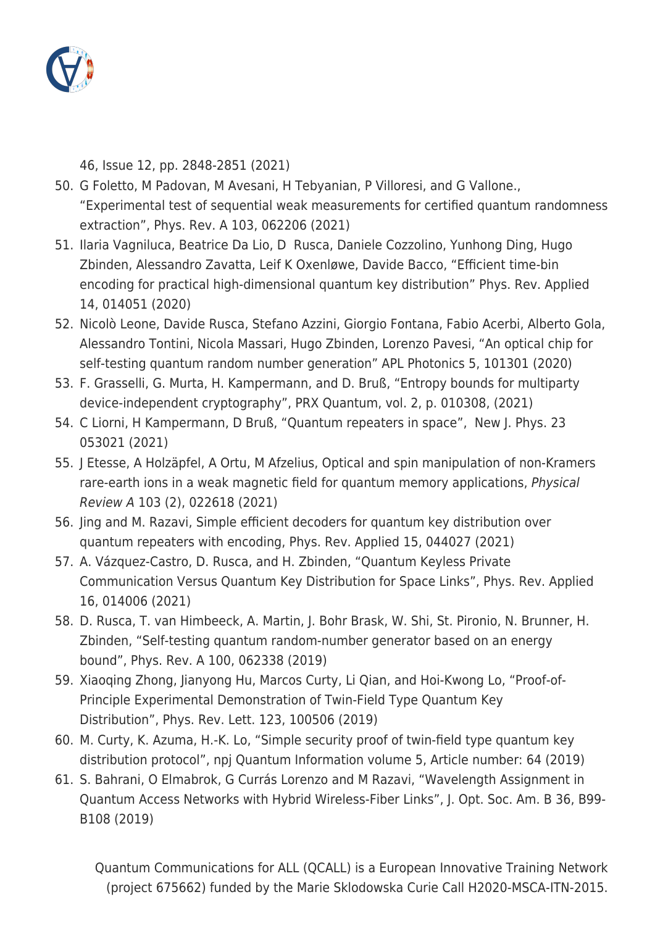

46, Issue 12, pp. 2848-2851 (2021)

- 50. G Foletto, M Padovan, M Avesani, H Tebyanian, P Villoresi, and G Vallone., "Experimental test of sequential weak measurements for certified quantum randomness extraction", Phys. Rev. A 103, 062206 (2021)
- 51. Ilaria Vagniluca, Beatrice Da Lio, D Rusca, Daniele Cozzolino, Yunhong Ding, Hugo Zbinden, Alessandro Zavatta, Leif K Oxenløwe, Davide Bacco, "Efficient time-bin encoding for practical high-dimensional quantum key distribution" Phys. Rev. Applied 14, 014051 (2020)
- 52. Nicolò Leone, Davide Rusca, Stefano Azzini, Giorgio Fontana, Fabio Acerbi, Alberto Gola, Alessandro Tontini, Nicola Massari, Hugo Zbinden, Lorenzo Pavesi, "An optical chip for self-testing quantum random number generation" APL Photonics 5, 101301 (2020)
- 53. F. Grasselli, G. Murta, H. Kampermann, and D. Bruß, "Entropy bounds for multiparty device-independent cryptography", PRX Quantum, vol. 2, p. 010308, (2021)
- 54. C Liorni, H Kampermann, D Bruß, "Quantum repeaters in space", New J. Phys. 23 053021 (2021)
- 55. J Etesse, A Holzäpfel, A Ortu, M Afzelius, Optical and spin manipulation of non-Kramers rare-earth ions in a weak magnetic field for quantum memory applications, Physical Review A 103 (2), 022618 (2021)
- 56. Jing and M. Razavi, Simple efficient decoders for quantum key distribution over quantum repeaters with encoding, Phys. Rev. Applied 15, 044027 (2021)
- 57. A. Vázquez-Castro, D. Rusca, and H. Zbinden, "Quantum Keyless Private Communication Versus Quantum Key Distribution for Space Links", Phys. Rev. Applied 16, 014006 (2021)
- 58. D. Rusca, T. van Himbeeck, A. Martin, J. Bohr Brask, W. Shi, St. Pironio, N. Brunner, H. Zbinden, "Self-testing quantum random-number generator based on an energy bound", Phys. Rev. A 100, 062338 (2019)
- 59. Xiaoqing Zhong, Jianyong Hu, Marcos Curty, Li Qian, and Hoi-Kwong Lo, "Proof-of-Principle Experimental Demonstration of Twin-Field Type Quantum Key Distribution", Phys. Rev. Lett. 123, 100506 (2019)
- 60. M. Curty, K. Azuma, H.-K. Lo, "Simple security proof of twin-field type quantum key distribution protocol", npj Quantum Information volume 5, Article number: 64 (2019)
- 61. S. Bahrani, O Elmabrok, G Currás Lorenzo and M Razavi, "Wavelength Assignment in Quantum Access Networks with Hybrid Wireless-Fiber Links", J. Opt. Soc. Am. B 36, B99- B108 (2019)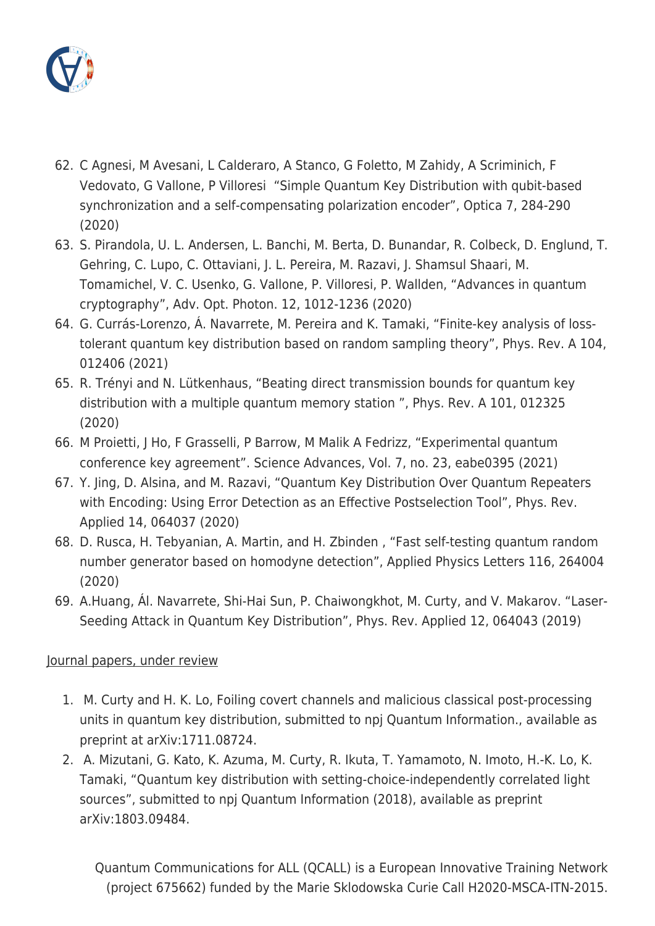

- 62. C Agnesi, M Avesani, L Calderaro, A Stanco, G Foletto, M Zahidy, A Scriminich, F Vedovato, G Vallone, P Villoresi "Simple Quantum Key Distribution with qubit-based synchronization and a self-compensating polarization encoder", Optica 7, 284-290 (2020)
- 63. S. Pirandola, U. L. Andersen, L. Banchi, M. Berta, D. Bunandar, R. Colbeck, D. Englund, T. Gehring, C. Lupo, C. Ottaviani, J. L. Pereira, M. Razavi, J. Shamsul Shaari, M. Tomamichel, V. C. Usenko, G. Vallone, P. Villoresi, P. Wallden, "Advances in quantum cryptography", Adv. Opt. Photon. 12, 1012-1236 (2020)
- 64. G. Currás-Lorenzo, Á. Navarrete, M. Pereira and K. Tamaki, "Finite-key analysis of losstolerant quantum key distribution based on random sampling theory", Phys. Rev. A 104, 012406 (2021)
- 65. R. Trényi and N. Lütkenhaus, "Beating direct transmission bounds for quantum key distribution with a multiple quantum memory station ", Phys. Rev. A 101, 012325 (2020)
- 66. M Proietti, J Ho, F Grasselli, P Barrow, M Malik A Fedrizz, "Experimental quantum conference key agreement". Science Advances, Vol. 7, no. 23, eabe0395 (2021)
- 67. Y. Jing, D. Alsina, and M. Razavi, "Quantum Key Distribution Over Quantum Repeaters with Encoding: Using Error Detection as an Effective Postselection Tool", Phys. Rev. Applied 14, 064037 (2020)
- 68. D. Rusca, H. Tebyanian, A. Martin, and H. Zbinden , "Fast self-testing quantum random number generator based on homodyne detection", Applied Physics Letters 116, 264004 (2020)
- 69. A.Huang, Ál. Navarrete, Shi-Hai Sun, P. Chaiwongkhot, M. Curty, and V. Makarov. "Laser-Seeding Attack in Quantum Key Distribution", Phys. Rev. Applied 12, 064043 (2019)

## Journal papers, under review

- 1. M. Curty and H. K. Lo, Foiling covert channels and malicious classical post-processing units in quantum key distribution, submitted to npj Quantum Information., available as preprint at arXiv:1711.08724.
- 2. A. Mizutani, G. Kato, K. Azuma, M. Curty, R. Ikuta, T. Yamamoto, N. Imoto, H.-K. Lo, K. Tamaki, "Quantum key distribution with setting-choice-independently correlated light sources", submitted to npj Quantum Information (2018), available as preprint arXiv:1803.09484.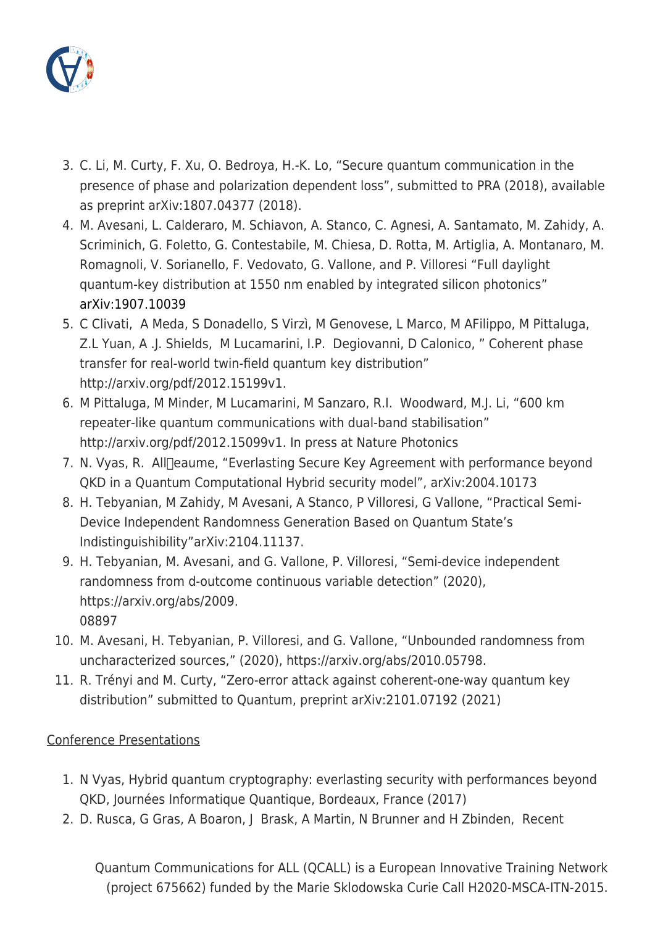

- 3. C. Li, M. Curty, F. Xu, O. Bedroya, H.-K. Lo, "Secure quantum communication in the presence of phase and polarization dependent loss", submitted to PRA (2018), available as preprint arXiv:1807.04377 (2018).
- 4. M. Avesani, L. Calderaro, M. Schiavon, A. Stanco, C. Agnesi, A. Santamato, M. Zahidy, A. Scriminich, G. Foletto, G. Contestabile, M. Chiesa, D. Rotta, M. Artiglia, A. Montanaro, M. Romagnoli, V. Sorianello, F. Vedovato, G. Vallone, and P. Villoresi "Full daylight quantum-key distribution at 1550 nm enabled by integrated silicon photonics" [arXiv:1907.10039](https://arxiv.org/abs/1907.10039)
- 5. C Clivati, A Meda, S Donadello, S Virzì, M Genovese, L Marco, M AFilippo, M Pittaluga, Z.L Yuan, A .J. Shields, M Lucamarini, I.P. Degiovanni, D Calonico, " Coherent phase transfer for real-world twin-field quantum key distribution" http://arxiv.org/pdf/2012.15199v1.
- 6. M Pittaluga, M Minder, M Lucamarini, M Sanzaro, R.I. Woodward, M.J. Li, "600 km repeater-like quantum communications with dual-band stabilisation" http://arxiv.org/pdf/2012.15099v1. In press at Nature Photonics
- 7. N. Vyas, R. All Deaume, "Everlasting Secure Key Agreement with performance beyond QKD in a Quantum Computational Hybrid security model", arXiv:2004.10173
- 8. H. Tebyanian, M Zahidy, M Avesani, A Stanco, P Villoresi, G Vallone, "Practical Semi-Device Independent Randomness Generation Based on Quantum State's Indistinguishibility"arXiv:2104.11137.
- 9. H. Tebyanian, M. Avesani, and G. Vallone, P. Villoresi, "Semi-device independent randomness from d-outcome continuous variable detection" (2020), https://arxiv.org/abs/2009. 08897
- 10. M. Avesani, H. Tebyanian, P. Villoresi, and G. Vallone, "Unbounded randomness from uncharacterized sources," (2020), https://arxiv.org/abs/2010.05798.
- 11. R. Trényi and M. Curty, "Zero-error attack against coherent-one-way quantum key distribution" submitted to Quantum, preprint arXiv:2101.07192 (2021)

## Conference Presentations

- 1. N Vyas, Hybrid quantum cryptography: everlasting security with performances beyond QKD, Journées Informatique Quantique, Bordeaux, France (2017)
- 2. D. Rusca, G Gras, A Boaron, J Brask, A Martin, N Brunner and H Zbinden, Recent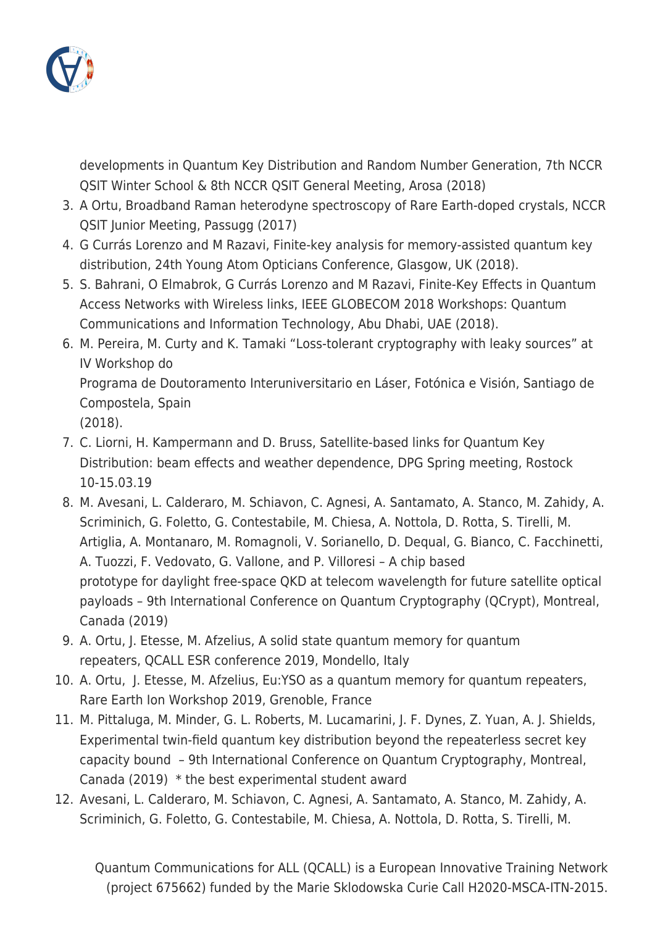

developments in Quantum Key Distribution and Random Number Generation, 7th NCCR QSIT Winter School & 8th NCCR QSIT General Meeting, Arosa (2018)

- 3. A Ortu, Broadband Raman heterodyne spectroscopy of Rare Earth-doped crystals, NCCR QSIT Junior Meeting, Passugg (2017)
- 4. G Currás Lorenzo and M Razavi, Finite-key analysis for memory-assisted quantum key distribution, 24th Young Atom Opticians Conference, Glasgow, UK (2018).
- 5. S. Bahrani, O Elmabrok, G Currás Lorenzo and M Razavi, Finite-Key Effects in Quantum Access Networks with Wireless links, IEEE GLOBECOM 2018 Workshops: Quantum Communications and Information Technology, Abu Dhabi, UAE (2018).
- 6. M. Pereira, M. Curty and K. Tamaki "Loss-tolerant cryptography with leaky sources" at IV Workshop do

Programa de Doutoramento Interuniversitario en Láser, Fotónica e Visión, Santiago de Compostela, Spain

(2018).

- 7. C. Liorni, H. Kampermann and D. Bruss, Satellite-based links for Quantum Key Distribution: beam effects and weather dependence, DPG Spring meeting, Rostock 10-15.03.19
- 8. M. Avesani, L. Calderaro, M. Schiavon, C. Agnesi, A. Santamato, A. Stanco, M. Zahidy, A. Scriminich, G. Foletto, G. Contestabile, M. Chiesa, A. Nottola, D. Rotta, S. Tirelli, M. Artiglia, A. Montanaro, M. Romagnoli, V. Sorianello, D. Dequal, G. Bianco, C. Facchinetti, A. Tuozzi, F. Vedovato, G. Vallone, and P. Villoresi – A chip based prototype for daylight free-space QKD at telecom wavelength for future satellite optical payloads – 9th International Conference on Quantum Cryptography (QCrypt), Montreal, Canada (2019)
- 9. A. Ortu, J. Etesse, M. Afzelius, A solid state quantum memory for quantum repeaters, QCALL ESR conference 2019, Mondello, Italy
- 10. A. Ortu, J. Etesse, M. Afzelius, Eu:YSO as a quantum memory for quantum repeaters, Rare Earth Ion Workshop 2019, Grenoble, France
- 11. M. Pittaluga, M. Minder, G. L. Roberts, M. Lucamarini, J. F. Dynes, Z. Yuan, A. J. Shields, Experimental twin-field quantum key distribution beyond the repeaterless secret key capacity bound – 9th International Conference on Quantum Cryptography, Montreal, Canada (2019) \* the best experimental student award
- 12. Avesani, L. Calderaro, M. Schiavon, C. Agnesi, A. Santamato, A. Stanco, M. Zahidy, A. Scriminich, G. Foletto, G. Contestabile, M. Chiesa, A. Nottola, D. Rotta, S. Tirelli, M.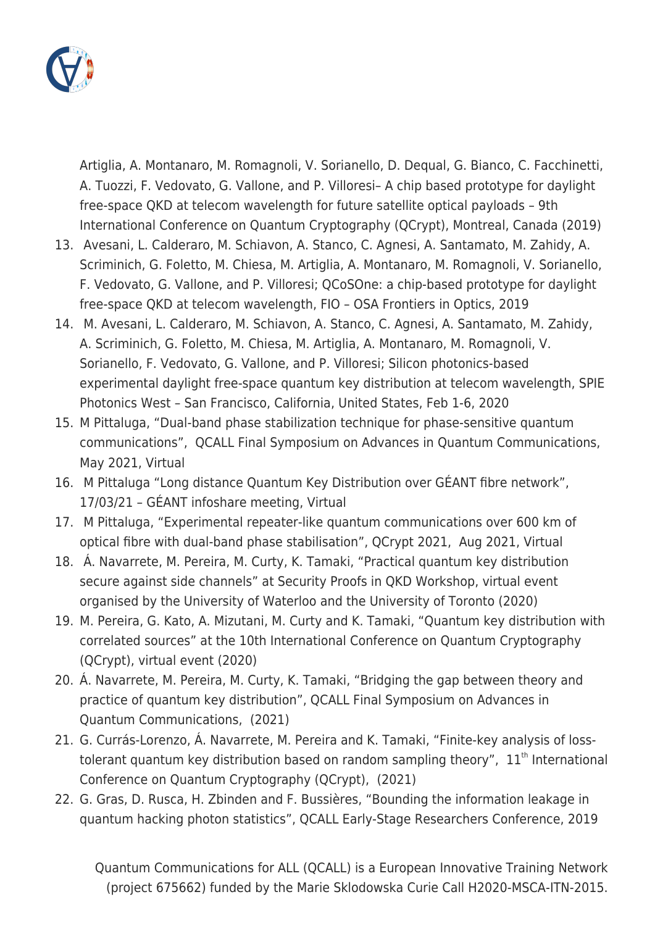

Artiglia, A. Montanaro, M. Romagnoli, V. Sorianello, D. Dequal, G. Bianco, C. Facchinetti, A. Tuozzi, F. Vedovato, G. Vallone, and P. Villoresi– A chip based prototype for daylight free-space QKD at telecom wavelength for future satellite optical payloads – 9th International Conference on Quantum Cryptography (QCrypt), Montreal, Canada (2019)

- 13. Avesani, L. Calderaro, M. Schiavon, A. Stanco, C. Agnesi, A. Santamato, M. Zahidy, A. Scriminich, G. Foletto, M. Chiesa, M. Artiglia, A. Montanaro, M. Romagnoli, V. Sorianello, F. Vedovato, G. Vallone, and P. Villoresi; QCoSOne: a chip-based prototype for daylight free-space QKD at telecom wavelength, FIO – OSA Frontiers in Optics, 2019
- 14. M. Avesani, L. Calderaro, M. Schiavon, A. Stanco, C. Agnesi, A. Santamato, M. Zahidy, A. Scriminich, G. Foletto, M. Chiesa, M. Artiglia, A. Montanaro, M. Romagnoli, V. Sorianello, F. Vedovato, G. Vallone, and P. Villoresi; Silicon photonics-based experimental daylight free-space quantum key distribution at telecom wavelength, SPIE Photonics West – San Francisco, California, United States, Feb 1-6, 2020
- 15. M Pittaluga, "Dual-band phase stabilization technique for phase-sensitive quantum communications", QCALL Final Symposium on Advances in Quantum Communications, May 2021, Virtual
- 16. M Pittaluga "Long distance Quantum Key Distribution over GÉANT fibre network", 17/03/21 – GÉANT infoshare meeting, Virtual
- 17. M Pittaluga, "Experimental repeater-like quantum communications over 600 km of optical fibre with dual-band phase stabilisation", QCrypt 2021, Aug 2021, Virtual
- 18. Á. Navarrete, M. Pereira, M. Curty, K. Tamaki, "Practical quantum key distribution secure against side channels" at Security Proofs in QKD Workshop, virtual event organised by the University of Waterloo and the University of Toronto (2020)
- 19. M. Pereira, G. Kato, A. Mizutani, M. Curty and K. Tamaki, "Quantum key distribution with correlated sources" at the 10th International Conference on Quantum Cryptography (QCrypt), virtual event (2020)
- 20. Á. Navarrete, M. Pereira, M. Curty, K. Tamaki, "Bridging the gap between theory and practice of quantum key distribution", QCALL Final Symposium on Advances in Quantum Communications, (2021)
- 21. G. Currás-Lorenzo, Á. Navarrete, M. Pereira and K. Tamaki, "Finite-key analysis of losstolerant quantum key distribution based on random sampling theory",  $11<sup>th</sup>$  International Conference on Quantum Cryptography (QCrypt), (2021)
- 22. G. Gras, D. Rusca, H. Zbinden and F. Bussières, "Bounding the information leakage in quantum hacking photon statistics", QCALL Early-Stage Researchers Conference, 2019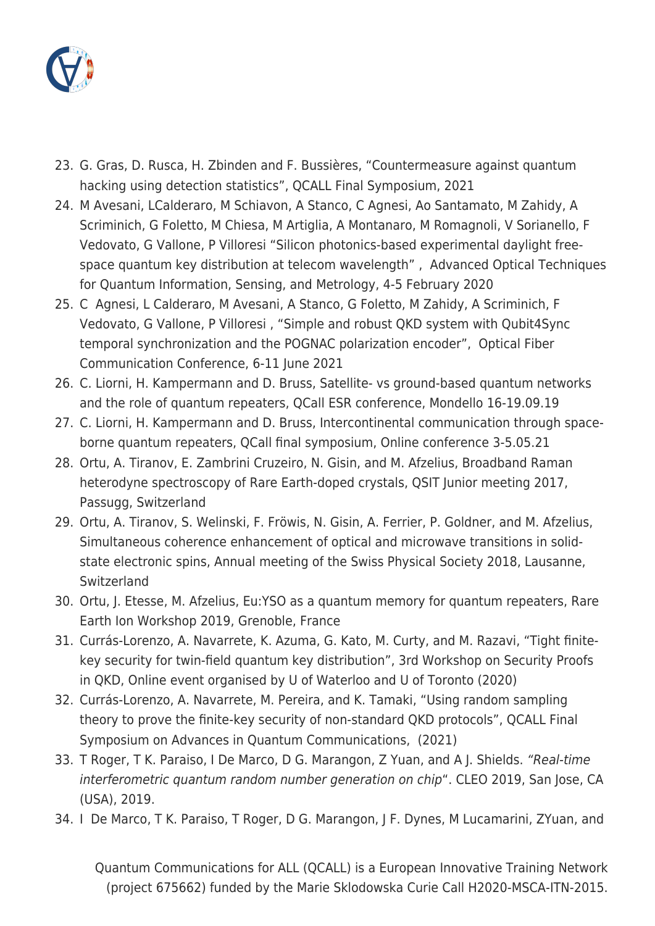

- 23. G. Gras, D. Rusca, H. Zbinden and F. Bussières, "Countermeasure against quantum hacking using detection statistics", QCALL Final Symposium, 2021
- 24. M Avesani, LCalderaro, M Schiavon, A Stanco, C Agnesi, Ao Santamato, M Zahidy, A Scriminich, G Foletto, M Chiesa, M Artiglia, A Montanaro, M Romagnoli, V Sorianello, F Vedovato, G Vallone, P Villoresi "Silicon photonics-based experimental daylight freespace quantum key distribution at telecom wavelength" , Advanced Optical Techniques for Quantum Information, Sensing, and Metrology, 4-5 February 2020
- 25. C Agnesi, L Calderaro, M Avesani, A Stanco, G Foletto, M Zahidy, A Scriminich, F Vedovato, G Vallone, P Villoresi , "Simple and robust QKD system with Qubit4Sync temporal synchronization and the POGNAC polarization encoder", Optical Fiber Communication Conference, 6-11 June 2021
- 26. C. Liorni, H. Kampermann and D. Bruss, Satellite- vs ground-based quantum networks and the role of quantum repeaters, QCall ESR conference, Mondello 16-19.09.19
- 27. C. Liorni, H. Kampermann and D. Bruss, Intercontinental communication through spaceborne quantum repeaters, QCall final symposium, Online conference 3-5.05.21
- 28. Ortu, A. Tiranov, E. Zambrini Cruzeiro, N. Gisin, and M. Afzelius, Broadband Raman heterodyne spectroscopy of Rare Earth-doped crystals, QSIT Junior meeting 2017, Passugg, Switzerland
- 29. Ortu, A. Tiranov, S. Welinski, F. Fröwis, N. Gisin, A. Ferrier, P. Goldner, and M. Afzelius, Simultaneous coherence enhancement of optical and microwave transitions in solidstate electronic spins, Annual meeting of the Swiss Physical Society 2018, Lausanne, Switzerland
- 30. Ortu, J. Etesse, M. Afzelius, Eu:YSO as a quantum memory for quantum repeaters, Rare Earth Ion Workshop 2019, Grenoble, France
- 31. Currás-Lorenzo, A. Navarrete, K. Azuma, G. Kato, M. Curty, and M. Razavi, "Tight finitekey security for twin-field quantum key distribution", 3rd Workshop on Security Proofs in QKD, Online event organised by U of Waterloo and U of Toronto (2020)
- 32. Currás-Lorenzo, A. Navarrete, M. Pereira, and K. Tamaki, "Using random sampling theory to prove the finite-key security of non-standard QKD protocols", QCALL Final Symposium on Advances in Quantum Communications, (2021)
- 33. T Roger, T K. Paraiso, I De Marco, D G. Marangon, Z Yuan, and A J. Shields. "Real-time interferometric quantum random number generation on chip". CLEO 2019, San Jose, CA (USA), 2019.
- 34. I De Marco, T K. Paraiso, T Roger, D G. Marangon, J F. Dynes, M Lucamarini, ZYuan, and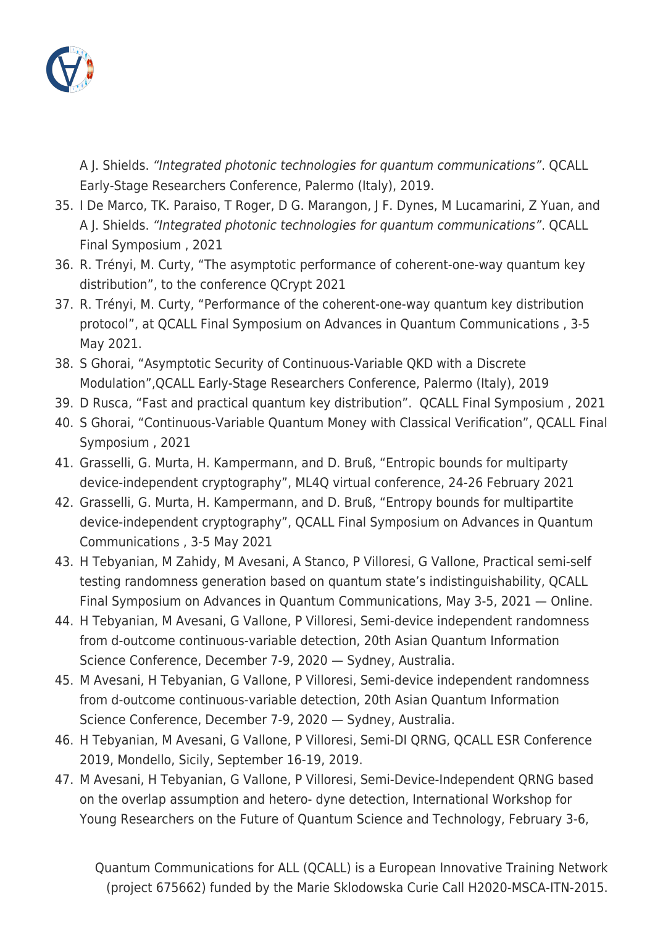

A J. Shields. "Integrated photonic technologies for quantum communications". QCALL Early-Stage Researchers Conference, Palermo (Italy), 2019.

- 35. I De Marco, TK. Paraiso, T Roger, D G. Marangon, J F. Dynes, M Lucamarini, Z Yuan, and A J. Shields. "Integrated photonic technologies for quantum communications". QCALL Final Symposium , 2021
- 36. R. Trényi, M. Curty, "The asymptotic performance of coherent-one-way quantum key distribution", to the conference QCrypt 2021
- 37. R. Trényi, M. Curty, "Performance of the coherent-one-way quantum key distribution protocol", at QCALL Final Symposium on Advances in Quantum Communications , 3-5 May 2021.
- 38. S Ghorai, "Asymptotic Security of Continuous-Variable QKD with a Discrete Modulation",QCALL Early-Stage Researchers Conference, Palermo (Italy), 2019
- 39. D Rusca, "Fast and practical quantum key distribution". QCALL Final Symposium , 2021
- 40. S Ghorai, "Continuous-Variable Quantum Money with Classical Verification", QCALL Final Symposium , 2021
- 41. Grasselli, G. Murta, H. Kampermann, and D. Bruß, "Entropic bounds for multiparty device-independent cryptography", ML4Q virtual conference, 24-26 February 2021
- 42. Grasselli, G. Murta, H. Kampermann, and D. Bruß, "Entropy bounds for multipartite device-independent cryptography", QCALL Final Symposium on Advances in Quantum Communications , 3-5 May 2021
- 43. H Tebyanian, M Zahidy, M Avesani, A Stanco, P Villoresi, G Vallone, Practical semi-self testing randomness generation based on quantum state's indistinguishability, QCALL Final Symposium on Advances in Quantum Communications, May 3-5, 2021 — Online.
- 44. H Tebyanian, M Avesani, G Vallone, P Villoresi, Semi-device independent randomness from d-outcome continuous-variable detection, 20th Asian Quantum Information Science Conference, December 7-9, 2020 — Sydney, Australia.
- 45. M Avesani, H Tebyanian, G Vallone, P Villoresi, Semi-device independent randomness from d-outcome continuous-variable detection, 20th Asian Quantum Information Science Conference, December 7-9, 2020 — Sydney, Australia.
- 46. H Tebyanian, M Avesani, G Vallone, P Villoresi, Semi-DI QRNG, QCALL ESR Conference 2019, Mondello, Sicily, September 16-19, 2019.
- 47. M Avesani, H Tebyanian, G Vallone, P Villoresi, Semi-Device-Independent QRNG based on the overlap assumption and hetero- dyne detection, International Workshop for Young Researchers on the Future of Quantum Science and Technology, February 3-6,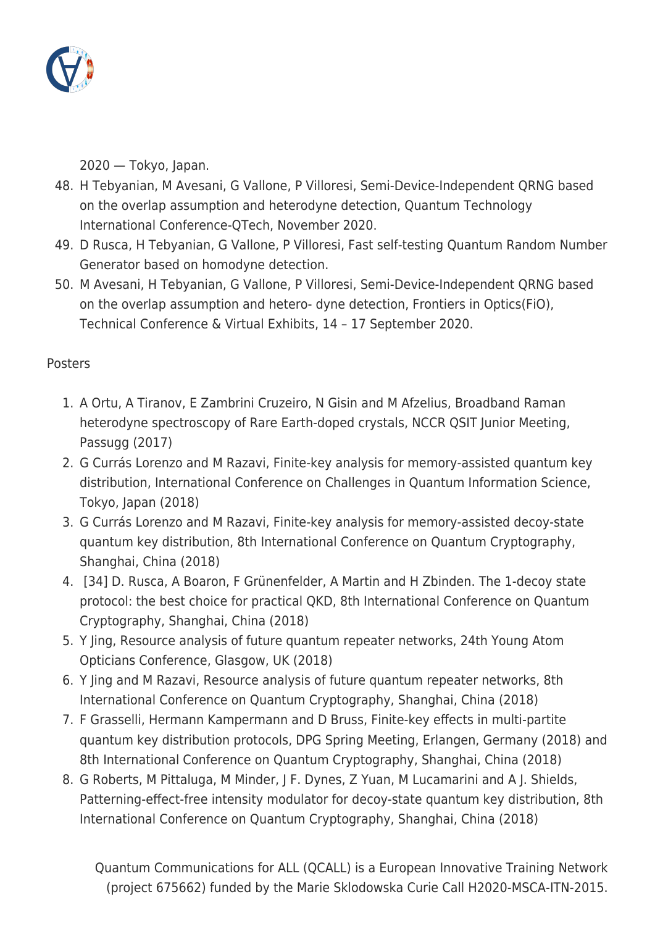

2020 — Tokyo, Japan.

- 48. H Tebyanian, M Avesani, G Vallone, P Villoresi, Semi-Device-Independent QRNG based on the overlap assumption and heterodyne detection, Quantum Technology International Conference-QTech, November 2020.
- 49. D Rusca, H Tebyanian, G Vallone, P Villoresi, Fast self-testing Quantum Random Number Generator based on homodyne detection.
- 50. M Avesani, H Tebyanian, G Vallone, P Villoresi, Semi-Device-Independent QRNG based on the overlap assumption and hetero- dyne detection, Frontiers in Optics(FiO), Technical Conference & Virtual Exhibits, 14 – 17 September 2020.

## **Posters**

- 1. A Ortu, A Tiranov, E Zambrini Cruzeiro, N Gisin and M Afzelius, Broadband Raman heterodyne spectroscopy of Rare Earth-doped crystals, NCCR QSIT Junior Meeting, Passugg (2017)
- 2. G Currás Lorenzo and M Razavi, Finite-key analysis for memory-assisted quantum key distribution, International Conference on Challenges in Quantum Information Science, Tokyo, Japan (2018)
- 3. G Currás Lorenzo and M Razavi, Finite-key analysis for memory-assisted decoy-state quantum key distribution, 8th International Conference on Quantum Cryptography, Shanghai, China (2018)
- 4. [34] D. Rusca, A Boaron, F Grünenfelder, A Martin and H Zbinden. The 1-decoy state protocol: the best choice for practical QKD, 8th International Conference on Quantum Cryptography, Shanghai, China (2018)
- 5. Y Jing, Resource analysis of future quantum repeater networks, 24th Young Atom Opticians Conference, Glasgow, UK (2018)
- 6. Y Jing and M Razavi, Resource analysis of future quantum repeater networks, 8th International Conference on Quantum Cryptography, Shanghai, China (2018)
- 7. F Grasselli, Hermann Kampermann and D Bruss, Finite-key effects in multi-partite quantum key distribution protocols, DPG Spring Meeting, Erlangen, Germany (2018) and 8th International Conference on Quantum Cryptography, Shanghai, China (2018)
- 8. G Roberts, M Pittaluga, M Minder, J F. Dynes, Z Yuan, M Lucamarini and A J. Shields, Patterning-effect-free intensity modulator for decoy-state quantum key distribution, 8th International Conference on Quantum Cryptography, Shanghai, China (2018)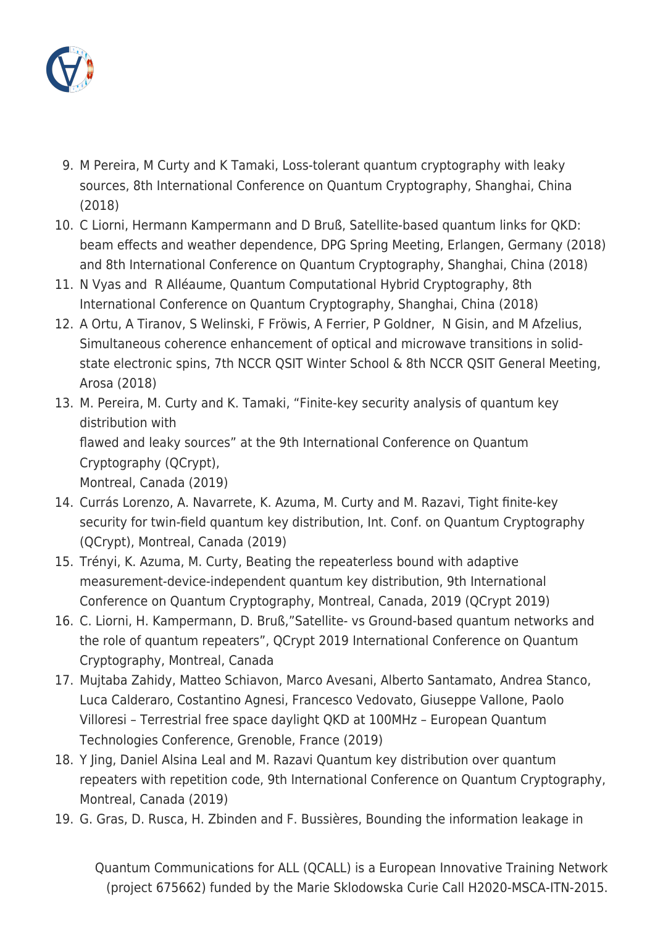

- 9. M Pereira, M Curty and K Tamaki, Loss-tolerant quantum cryptography with leaky sources, 8th International Conference on Quantum Cryptography, Shanghai, China (2018)
- 10. C Liorni, Hermann Kampermann and D Bruß, Satellite-based quantum links for QKD: beam effects and weather dependence, DPG Spring Meeting, Erlangen, Germany (2018) and 8th International Conference on Quantum Cryptography, Shanghai, China (2018)
- 11. N Vyas and R Alléaume, Quantum Computational Hybrid Cryptography, 8th International Conference on Quantum Cryptography, Shanghai, China (2018)
- 12. A Ortu, A Tiranov, S Welinski, F Fröwis, A Ferrier, P Goldner, N Gisin, and M Afzelius, Simultaneous coherence enhancement of optical and microwave transitions in solidstate electronic spins, 7th NCCR QSIT Winter School & 8th NCCR QSIT General Meeting, Arosa (2018)
- 13. M. Pereira, M. Curty and K. Tamaki, "Finite-key security analysis of quantum key distribution with flawed and leaky sources" at the 9th International Conference on Quantum Cryptography (QCrypt), Montreal, Canada (2019)
- 14. Currás Lorenzo, A. Navarrete, K. Azuma, M. Curty and M. Razavi, Tight finite-key security for twin-field quantum key distribution, Int. Conf. on Quantum Cryptography (QCrypt), Montreal, Canada (2019)
- 15. Trényi, K. Azuma, M. Curty, Beating the repeaterless bound with adaptive measurement-device-independent quantum key distribution, 9th International Conference on Quantum Cryptography, Montreal, Canada, 2019 (QCrypt 2019)
- 16. C. Liorni, H. Kampermann, D. Bruß,"Satellite- vs Ground-based quantum networks and the role of quantum repeaters", QCrypt 2019 International Conference on Quantum Cryptography, Montreal, Canada
- 17. Mujtaba Zahidy, Matteo Schiavon, Marco Avesani, Alberto Santamato, Andrea Stanco, Luca Calderaro, Costantino Agnesi, Francesco Vedovato, Giuseppe Vallone, Paolo Villoresi – Terrestrial free space daylight QKD at 100MHz – European Quantum Technologies Conference, Grenoble, France (2019)
- 18. Y Jing, Daniel Alsina Leal and M. Razavi Quantum key distribution over quantum repeaters with repetition code, 9th International Conference on Quantum Cryptography, Montreal, Canada (2019)
- 19. G. Gras, D. Rusca, H. Zbinden and F. Bussières, Bounding the information leakage in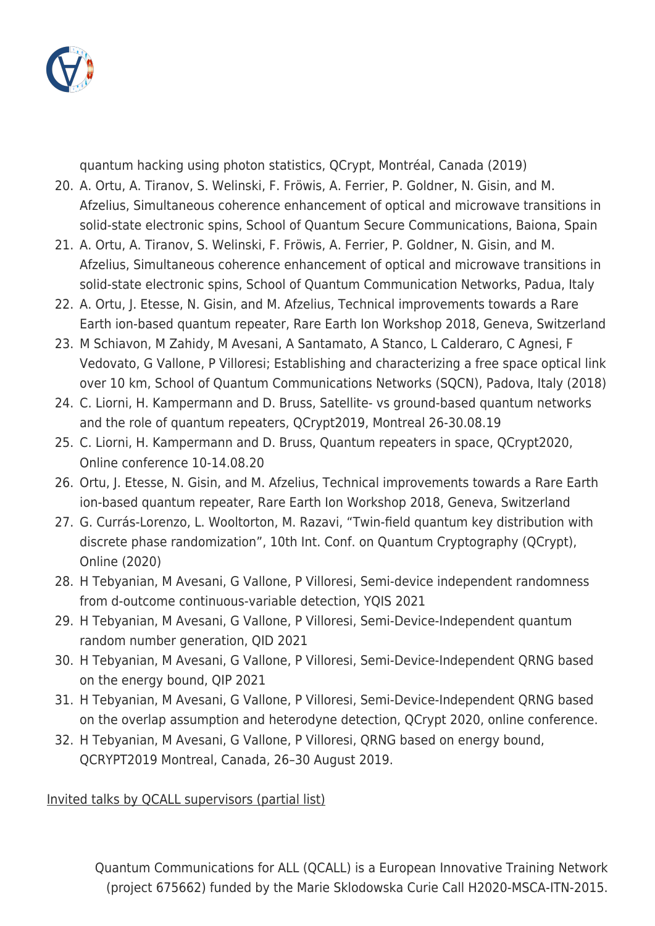

quantum hacking using photon statistics, QCrypt, Montréal, Canada (2019)

- 20. A. Ortu, A. Tiranov, S. Welinski, F. Fröwis, A. Ferrier, P. Goldner, N. Gisin, and M. Afzelius, Simultaneous coherence enhancement of optical and microwave transitions in solid-state electronic spins, School of Quantum Secure Communications, Baiona, Spain
- 21. A. Ortu, A. Tiranov, S. Welinski, F. Fröwis, A. Ferrier, P. Goldner, N. Gisin, and M. Afzelius, Simultaneous coherence enhancement of optical and microwave transitions in solid-state electronic spins, School of Quantum Communication Networks, Padua, Italy
- 22. A. Ortu, J. Etesse, N. Gisin, and M. Afzelius, Technical improvements towards a Rare Earth ion-based quantum repeater, Rare Earth Ion Workshop 2018, Geneva, Switzerland
- 23. M Schiavon, M Zahidy, M Avesani, A Santamato, A Stanco, L Calderaro, C Agnesi, F Vedovato, G Vallone, P Villoresi; Establishing and characterizing a free space optical link over 10 km, School of Quantum Communications Networks (SQCN), Padova, Italy (2018)
- 24. C. Liorni, H. Kampermann and D. Bruss, Satellite- vs ground-based quantum networks and the role of quantum repeaters, QCrypt2019, Montreal 26-30.08.19
- 25. C. Liorni, H. Kampermann and D. Bruss, Quantum repeaters in space, QCrypt2020, Online conference 10-14.08.20
- 26. Ortu, J. Etesse, N. Gisin, and M. Afzelius, Technical improvements towards a Rare Earth ion-based quantum repeater, Rare Earth Ion Workshop 2018, Geneva, Switzerland
- 27. G. Currás-Lorenzo, L. Wooltorton, M. Razavi, "Twin-field quantum key distribution with discrete phase randomization", 10th Int. Conf. on Quantum Cryptography (QCrypt), Online (2020)
- 28. H Tebyanian, M Avesani, G Vallone, P Villoresi, Semi-device independent randomness from d-outcome continuous-variable detection, YQIS 2021
- 29. H Tebyanian, M Avesani, G Vallone, P Villoresi, Semi-Device-Independent quantum random number generation, QID 2021
- 30. H Tebyanian, M Avesani, G Vallone, P Villoresi, Semi-Device-Independent QRNG based on the energy bound, QIP 2021
- 31. H Tebyanian, M Avesani, G Vallone, P Villoresi, Semi-Device-Independent QRNG based on the overlap assumption and heterodyne detection, QCrypt 2020, online conference.
- 32. H Tebyanian, M Avesani, G Vallone, P Villoresi, QRNG based on energy bound, QCRYPT2019 Montreal, Canada, 26–30 August 2019.

Invited talks by QCALL supervisors (partial list)